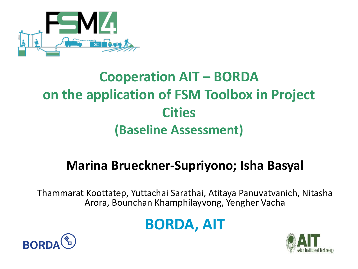

### **Cooperation AIT – BORDA on the application of FSM Toolbox in Project Cities (Baseline Assessment)**

#### **Marina Brueckner-Supriyono; Isha Basyal**

Thammarat Koottatep, Yuttachai Sarathai, Atitaya Panuvatvanich, Nitasha Arora, Bounchan Khamphilayvong, Yengher Vacha

#### **BORDA, AIT**



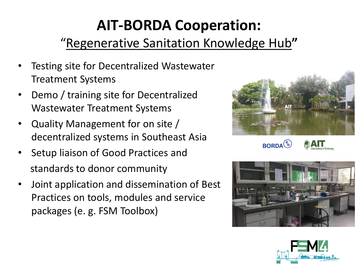## **AIT-BORDA Cooperation:**

#### "Regenerative Sanitation Knowledge Hub**"**

- Testing site for Decentralized Wastewater Treatment Systems
- Demo / training site for Decentralized Wastewater Treatment Systems
- Quality Management for on site / decentralized systems in Southeast Asia
- Setup liaison of Good Practices and standards to donor community
- Joint application and dissemination of Best Practices on tools, modules and service packages (e. g. FSM Toolbox)





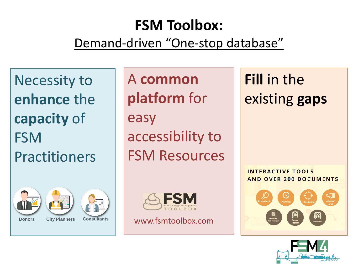## **FSM Toolbox:**

#### Demand-driven "One-stop database"

Necessity to **enhance** the **capacity** of FSM **Practitioners** 







**Donors City Planners Consultants**

A **common platform** for easy accessibility to FSM Resources



www.fsmtoolbox.com

**Fill** in the existing **gaps**

**INTERACTIVE TOOLS AND OVER 200 DOCUMENTS**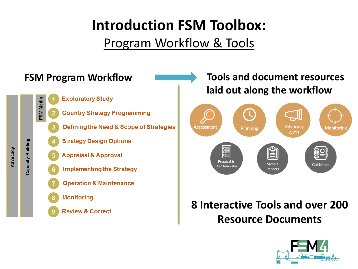#### Program Workflow & Tools



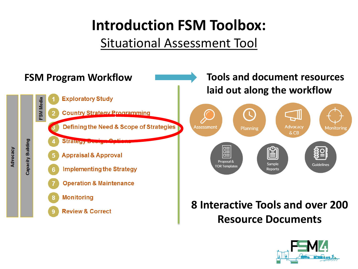#### Situational Assessment Tool



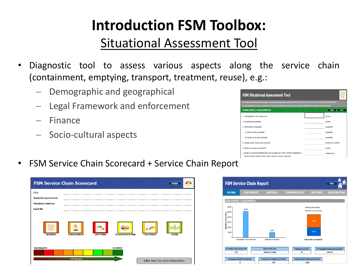#### Situational Assessment Tool

- Diagnostic tool to assess various aspects along the service chain (containment, emptying, transport, treatment, reuse), e.g.:
	- Demographic and geographical
	- Legal Framework and enforcement
	- Finance
	- Socio-cultural aspects

| Note: This sheet includes general questions on Demography/Geography, Legal framework and Enforcement,Finance, Advocacy, Socio-cultural and Monitoring.<br>The general questions serves as a baseline for assessing the FSM situation, so this section needs to be filled up at the beginning of the assessment. |                                      |                             |  |  |  |  |  |
|-----------------------------------------------------------------------------------------------------------------------------------------------------------------------------------------------------------------------------------------------------------------------------------------------------------------|--------------------------------------|-----------------------------|--|--|--|--|--|
| <b>DEMOGRAPHY / GEOGRAPHICAL</b>                                                                                                                                                                                                                                                                                |                                      | <b>RESET</b><br><b>PRIN</b> |  |  |  |  |  |
| 1. Total population in the coverage area                                                                                                                                                                                                                                                                        |                                      | persons                     |  |  |  |  |  |
| 2. Recognized slum population                                                                                                                                                                                                                                                                                   |                                      | persons                     |  |  |  |  |  |
| 3. Total number of bousebolds                                                                                                                                                                                                                                                                                   |                                      | households                  |  |  |  |  |  |
| 3.1 Number of slum bouseholds.                                                                                                                                                                                                                                                                                  | ------------------------------------ | households                  |  |  |  |  |  |
| 3.2 Number of non-slum households.                                                                                                                                                                                                                                                                              |                                      | households                  |  |  |  |  |  |
| 4. Average number of persons per household                                                                                                                                                                                                                                                                      |                                      | persons per household       |  |  |  |  |  |
| 5. Number of municipal wards/districts                                                                                                                                                                                                                                                                          | ------------------------------------ | Numher                      |  |  |  |  |  |
| 6 Number of commercial establishments in the coverage area ("Note: Commercial establishments<br>include recognized number of shops, cinemas, theaters, hotels and restaurants)                                                                                                                                  |                                      | establishments              |  |  |  |  |  |

• FSM Service Chain Scorecard + Service Chain Report

|                          | <b>FSM Service Chain Scorecard</b> |                 |                       |                  | <b>PRINT</b>                    |
|--------------------------|------------------------------------|-----------------|-----------------------|------------------|---------------------------------|
| City:                    |                                    |                 |                       |                  |                                 |
| Ward/Sector/Suburb:      |                                    |                 |                       |                  |                                 |
| <b>Telephone Number:</b> |                                    |                 |                       |                  |                                 |
| <b>Email ID:</b>         |                                    |                 |                       |                  |                                 |
| <b>GENERAL</b>           | <b>CONTAINMENT</b>                 | <b>EMPTYING</b> | <b>TRANSPORTATION</b> | <b>TREATMENT</b> | <b>REUSE</b>                    |
| <b>Inadequate</b>        |                                    |                 | <b>Excellent</b>      |                  |                                 |
|                          |                                    |                 |                       |                  |                                 |
|                          | <b>FSM Situation</b>               |                 |                       |                  | Click here for more information |

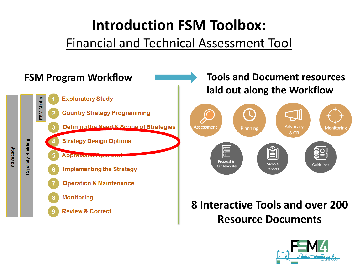#### Financial and Technical Assessment Tool



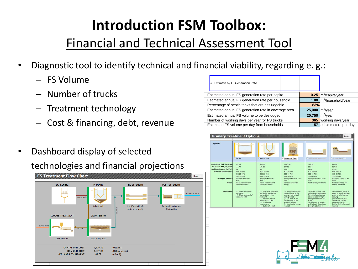#### Financial and Technical Assessment Tool

- Diagnostic tool to identify technical and financial viability, regarding e. g.:
	- FS Volume
	- Number of trucks
	- Treatment technology
	- Cost & financing, debt, revenue
- Dashboard display of selected technologies and financial projections



| Estimate by FS Generation Rate                       |        |                                    |  |
|------------------------------------------------------|--------|------------------------------------|--|
| Estimated annual FS generation rate per capita       |        | $0.25 \text{ m}^3$ /capita/year    |  |
| Estimated annual FS generation rate per household    |        | $1.00$ $\vert m^3$ /household/year |  |
| Percentage of septic tanks that are desludgable      | 83%    |                                    |  |
| Estimated annual FS generation rate in coverage area |        | 25,000 $\rm{Im}^3$ /year           |  |
| Estimated annual FS volume to be desludged           | 20,750 | $m^3$ /vear                        |  |
| Number of working days per year for FS trucks        | 365    | working days/year                  |  |
| Estimated FS volume per day from households          | 57     | cubic meters per day               |  |



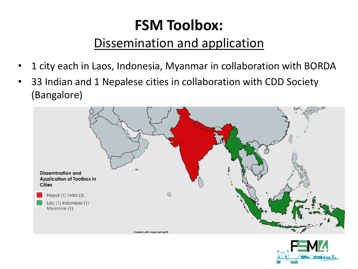## **FSM Toolbox:**

#### Dissemination and application

- 1 city each in Laos, Indonesia, Myanmar in collaboration with BORDA
- 33 Indian and 1 Nepalese cities in collaboration with CDD Society (Bangalore)



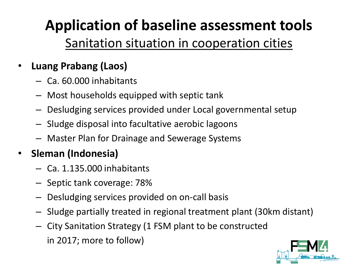## **Application of baseline assessment tools**

#### Sanitation situation in cooperation cities

#### • **Luang Prabang (Laos)**

- Ca. 60.000 inhabitants
- Most households equipped with septic tank
- Desludging services provided under Local governmental setup
- Sludge disposal into facultative aerobic lagoons
- Master Plan for Drainage and Sewerage Systems

#### • **Sleman (Indonesia)**

- Ca. 1.135.000 inhabitants
- Septic tank coverage: 78%
- Desludging services provided on on-call basis
- Sludge partially treated in regional treatment plant (30km distant)
- City Sanitation Strategy (1 FSM plant to be constructed in 2017; more to follow)

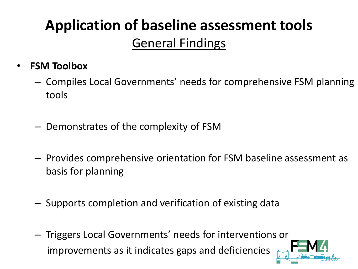## **Application of baseline assessment tools** General Findings

- **FSM Toolbox**
	- Compiles Local Governments' needs for comprehensive FSM planning tools
	- Demonstrates of the complexity of FSM
	- Provides comprehensive orientation for FSM baseline assessment as basis for planning
	- Supports completion and verification of existing data
	- Triggers Local Governments' needs for interventions or improvements as it indicates gaps and deficiencies

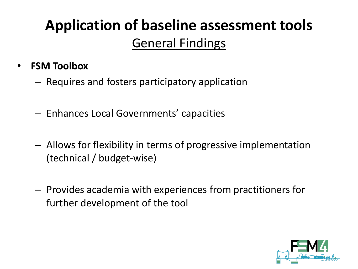## **Application of baseline assessment tools** General Findings

- **FSM Toolbox**
	- Requires and fosters participatory application
	- Enhances Local Governments' capacities
	- Allows for flexibility in terms of progressive implementation (technical / budget-wise)
	- Provides academia with experiences from practitioners for further development of the tool

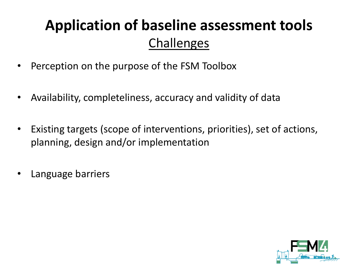### **Application of baseline assessment tools** Challenges

- Perception on the purpose of the FSM Toolbox
- Availability, completeliness, accuracy and validity of data
- Existing targets (scope of interventions, priorities), set of actions, planning, design and/or implementation
- Language barriers

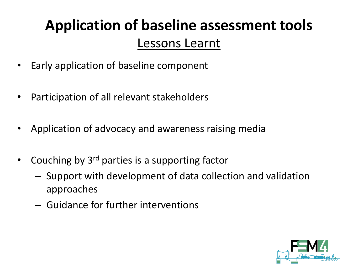## **Application of baseline assessment tools** Lessons Learnt

- Early application of baseline component
- Participation of all relevant stakeholders
- Application of advocacy and awareness raising media
- Couching by 3<sup>rd</sup> parties is a supporting factor
	- Support with development of data collection and validation approaches
	- Guidance for further interventions

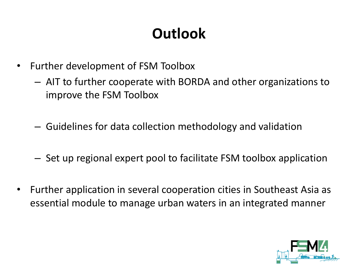## **Outlook**

- Further development of FSM Toolbox
	- AIT to further cooperate with BORDA and other organizations to improve the FSM Toolbox
	- Guidelines for data collection methodology and validation
	- Set up regional expert pool to facilitate FSM toolbox application
- Further application in several cooperation cities in Southeast Asia as essential module to manage urban waters in an integrated manner

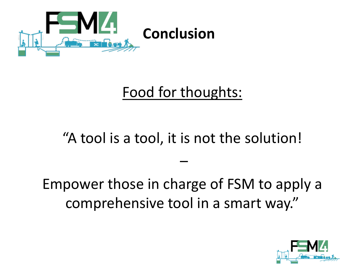

#### Food for thoughts:

#### "A tool is a tool, it is not the solution!

–

Empower those in charge of FSM to apply a comprehensive tool in a smart way."